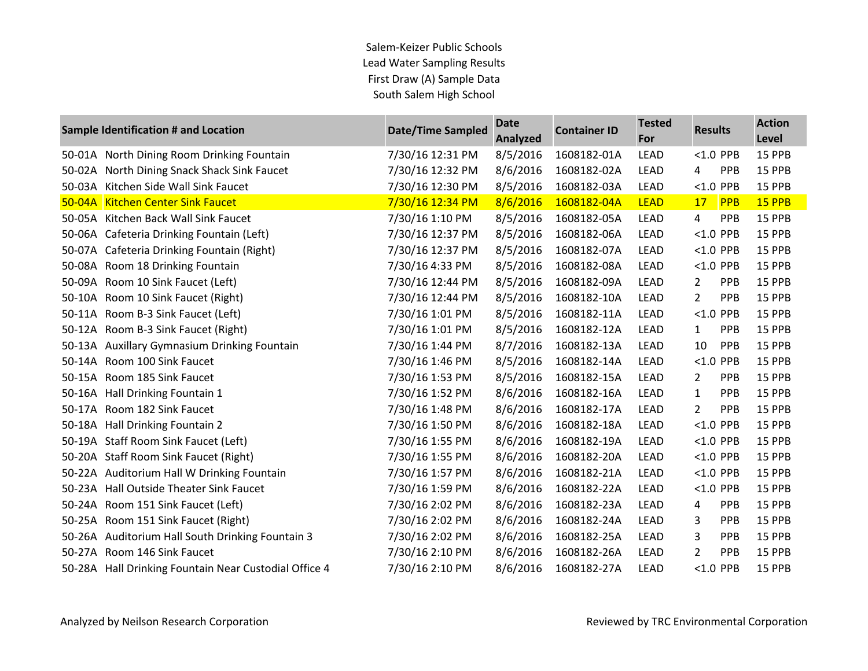|        | Sample Identification # and Location                  | <b>Date/Time Sampled</b> | <b>Date</b><br><b>Analyzed</b> | <b>Container ID</b> | <b>Tested</b><br>For | <b>Results</b> |             | <b>Action</b><br>Level |
|--------|-------------------------------------------------------|--------------------------|--------------------------------|---------------------|----------------------|----------------|-------------|------------------------|
|        | 50-01A North Dining Room Drinking Fountain            | 7/30/16 12:31 PM         | 8/5/2016                       | 1608182-01A         | <b>LEAD</b>          | $< 1.0$ PPB    |             | 15 PPB                 |
|        | 50-02A North Dining Snack Shack Sink Faucet           | 7/30/16 12:32 PM         | 8/6/2016                       | 1608182-02A         | <b>LEAD</b>          | 4              | <b>PPB</b>  | 15 PPB                 |
| 50-03A | Kitchen Side Wall Sink Faucet                         | 7/30/16 12:30 PM         | 8/5/2016                       | 1608182-03A         | <b>LEAD</b>          |                | <1.0 PPB    | 15 PPB                 |
|        | 50-04A Kitchen Center Sink Faucet                     | 7/30/16 12:34 PM         | 8/6/2016                       | 1608182-04A         | <b>LEAD</b>          | 17             | PPB         | 15 PPB                 |
|        | 50-05A Kitchen Back Wall Sink Faucet                  | 7/30/16 1:10 PM          | 8/5/2016                       | 1608182-05A         | <b>LEAD</b>          | 4              | PPB         | 15 PPB                 |
|        | 50-06A Cafeteria Drinking Fountain (Left)             | 7/30/16 12:37 PM         | 8/5/2016                       | 1608182-06A         | <b>LEAD</b>          | $< 1.0$ PPB    |             | 15 PPB                 |
| 50-07A | Cafeteria Drinking Fountain (Right)                   | 7/30/16 12:37 PM         | 8/5/2016                       | 1608182-07A         | <b>LEAD</b>          | $< 1.0$ PPB    |             | 15 PPB                 |
|        | 50-08A Room 18 Drinking Fountain                      | 7/30/16 4:33 PM          | 8/5/2016                       | 1608182-08A         | LEAD                 |                | <1.0 PPB    | 15 PPB                 |
|        | 50-09A Room 10 Sink Faucet (Left)                     | 7/30/16 12:44 PM         | 8/5/2016                       | 1608182-09A         | <b>LEAD</b>          | $\mathbf{2}$   | PPB         | 15 PPB                 |
| 50-10A | Room 10 Sink Faucet (Right)                           | 7/30/16 12:44 PM         | 8/5/2016                       | 1608182-10A         | <b>LEAD</b>          | $\mathbf{2}$   | <b>PPB</b>  | 15 PPB                 |
|        | 50-11A Room B-3 Sink Faucet (Left)                    | 7/30/16 1:01 PM          | 8/5/2016                       | 1608182-11A         | LEAD                 |                | <1.0 PPB    | 15 PPB                 |
|        | 50-12A Room B-3 Sink Faucet (Right)                   | 7/30/16 1:01 PM          | 8/5/2016                       | 1608182-12A         | LEAD                 | $\mathbf{1}$   | PPB         | 15 PPB                 |
|        | 50-13A Auxillary Gymnasium Drinking Fountain          | 7/30/16 1:44 PM          | 8/7/2016                       | 1608182-13A         | <b>LEAD</b>          | 10             | <b>PPB</b>  | 15 PPB                 |
|        | 50-14A Room 100 Sink Faucet                           | 7/30/16 1:46 PM          | 8/5/2016                       | 1608182-14A         | <b>LEAD</b>          |                | $< 1.0$ PPB | 15 PPB                 |
|        | 50-15A Room 185 Sink Faucet                           | 7/30/16 1:53 PM          | 8/5/2016                       | 1608182-15A         | <b>LEAD</b>          | 2              | PPB         | 15 PPB                 |
|        | 50-16A Hall Drinking Fountain 1                       | 7/30/16 1:52 PM          | 8/6/2016                       | 1608182-16A         | LEAD                 | $\mathbf{1}$   | <b>PPB</b>  | 15 PPB                 |
|        | 50-17A Room 182 Sink Faucet                           | 7/30/16 1:48 PM          | 8/6/2016                       | 1608182-17A         | <b>LEAD</b>          | 2              | <b>PPB</b>  | 15 PPB                 |
|        | 50-18A Hall Drinking Fountain 2                       | 7/30/16 1:50 PM          | 8/6/2016                       | 1608182-18A         | <b>LEAD</b>          | $< 1.0$ PPB    |             | 15 PPB                 |
|        | 50-19A Staff Room Sink Faucet (Left)                  | 7/30/16 1:55 PM          | 8/6/2016                       | 1608182-19A         | LEAD                 | $<$ 1.0 PPB    |             | 15 PPB                 |
|        | 50-20A Staff Room Sink Faucet (Right)                 | 7/30/16 1:55 PM          | 8/6/2016                       | 1608182-20A         | <b>LEAD</b>          |                | $< 1.0$ PPB | 15 PPB                 |
|        | 50-22A Auditorium Hall W Drinking Fountain            | 7/30/16 1:57 PM          | 8/6/2016                       | 1608182-21A         | <b>LEAD</b>          |                | $< 1.0$ PPB | 15 PPB                 |
|        | 50-23A Hall Outside Theater Sink Faucet               | 7/30/16 1:59 PM          | 8/6/2016                       | 1608182-22A         | LEAD                 |                | <1.0 PPB    | 15 PPB                 |
|        | 50-24A Room 151 Sink Faucet (Left)                    | 7/30/16 2:02 PM          | 8/6/2016                       | 1608182-23A         | LEAD                 | 4              | PPB         | 15 PPB                 |
|        | 50-25A Room 151 Sink Faucet (Right)                   | 7/30/16 2:02 PM          | 8/6/2016                       | 1608182-24A         | <b>LEAD</b>          | 3              | <b>PPB</b>  | 15 PPB                 |
|        | 50-26A Auditorium Hall South Drinking Fountain 3      | 7/30/16 2:02 PM          | 8/6/2016                       | 1608182-25A         | <b>LEAD</b>          | 3              | <b>PPB</b>  | 15 PPB                 |
|        | 50-27A Room 146 Sink Faucet                           | 7/30/16 2:10 PM          | 8/6/2016                       | 1608182-26A         | LEAD                 | 2              | PPB         | 15 PPB                 |
|        | 50-28A Hall Drinking Fountain Near Custodial Office 4 | 7/30/16 2:10 PM          | 8/6/2016                       | 1608182-27A         | <b>LEAD</b>          |                | $< 1.0$ PPB | 15 PPB                 |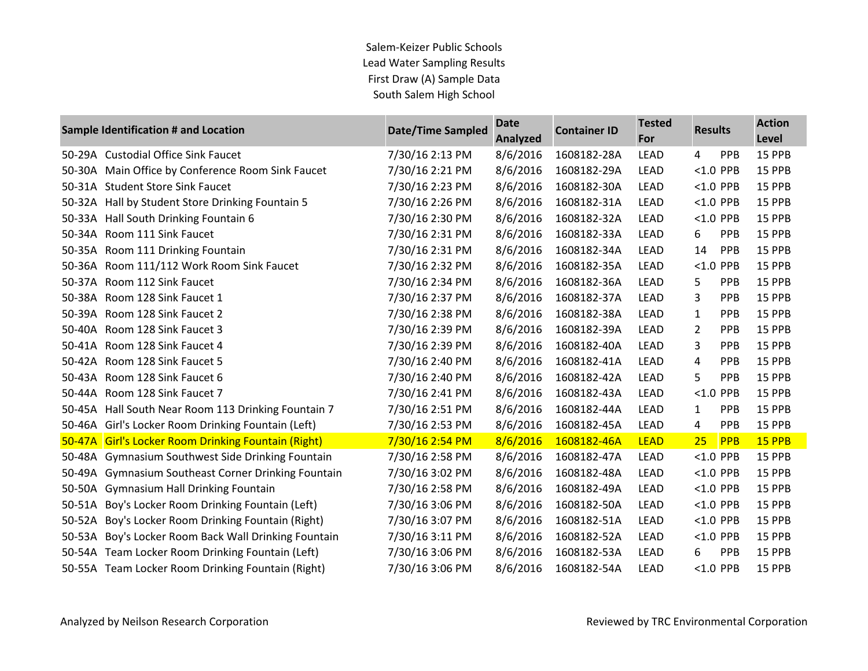|        | <b>Sample Identification # and Location</b>         | <b>Date/Time Sampled</b> | <b>Date</b><br><b>Analyzed</b> | <b>Container ID</b> | <b>Tested</b><br>For | <b>Results</b> |             | <b>Action</b><br>Level |
|--------|-----------------------------------------------------|--------------------------|--------------------------------|---------------------|----------------------|----------------|-------------|------------------------|
|        | 50-29A Custodial Office Sink Faucet                 | 7/30/16 2:13 PM          | 8/6/2016                       | 1608182-28A         | <b>LEAD</b>          | 4              | PPB         | 15 PPB                 |
|        | 50-30A Main Office by Conference Room Sink Faucet   | 7/30/16 2:21 PM          | 8/6/2016                       | 1608182-29A         | <b>LEAD</b>          |                | $< 1.0$ PPB | <b>15 PPB</b>          |
| 50-31A | <b>Student Store Sink Faucet</b>                    | 7/30/16 2:23 PM          | 8/6/2016                       | 1608182-30A         | <b>LEAD</b>          |                | $< 1.0$ PPB | 15 PPB                 |
| 50-32A | Hall by Student Store Drinking Fountain 5           | 7/30/16 2:26 PM          | 8/6/2016                       | 1608182-31A         | <b>LEAD</b>          |                | $< 1.0$ PPB | 15 PPB                 |
|        | 50-33A Hall South Drinking Fountain 6               | 7/30/16 2:30 PM          | 8/6/2016                       | 1608182-32A         | <b>LEAD</b>          |                | $< 1.0$ PPB | 15 PPB                 |
| 50-34A | Room 111 Sink Faucet                                | 7/30/16 2:31 PM          | 8/6/2016                       | 1608182-33A         | <b>LEAD</b>          | 6              | PPB         | 15 PPB                 |
| 50-35A | Room 111 Drinking Fountain                          | 7/30/16 2:31 PM          | 8/6/2016                       | 1608182-34A         | LEAD                 | 14             | PPB         | 15 PPB                 |
|        | 50-36A Room 111/112 Work Room Sink Faucet           | 7/30/16 2:32 PM          | 8/6/2016                       | 1608182-35A         | <b>LEAD</b>          |                | $< 1.0$ PPB | 15 PPB                 |
|        | 50-37A Room 112 Sink Faucet                         | 7/30/16 2:34 PM          | 8/6/2016                       | 1608182-36A         | <b>LEAD</b>          | 5              | <b>PPB</b>  | 15 PPB                 |
| 50-38A | Room 128 Sink Faucet 1                              | 7/30/16 2:37 PM          | 8/6/2016                       | 1608182-37A         | <b>LEAD</b>          | 3              | PPB         | 15 PPB                 |
| 50-39A | Room 128 Sink Faucet 2                              | 7/30/16 2:38 PM          | 8/6/2016                       | 1608182-38A         | <b>LEAD</b>          | $\mathbf{1}$   | PPB         | 15 PPB                 |
|        | 50-40A Room 128 Sink Faucet 3                       | 7/30/16 2:39 PM          | 8/6/2016                       | 1608182-39A         | <b>LEAD</b>          | 2              | PPB         | 15 PPB                 |
| 50-41A | Room 128 Sink Faucet 4                              | 7/30/16 2:39 PM          | 8/6/2016                       | 1608182-40A         | <b>LEAD</b>          | 3              | PPB         | 15 PPB                 |
|        | 50-42A Room 128 Sink Faucet 5                       | 7/30/16 2:40 PM          | 8/6/2016                       | 1608182-41A         | LEAD                 | 4              | PPB         | 15 PPB                 |
|        | 50-43A Room 128 Sink Faucet 6                       | 7/30/16 2:40 PM          | 8/6/2016                       | 1608182-42A         | <b>LEAD</b>          | 5              | PPB         | 15 PPB                 |
| 50-44A | Room 128 Sink Faucet 7                              | 7/30/16 2:41 PM          | 8/6/2016                       | 1608182-43A         | <b>LEAD</b>          |                | $< 1.0$ PPB | 15 PPB                 |
|        | 50-45A Hall South Near Room 113 Drinking Fountain 7 | 7/30/16 2:51 PM          | 8/6/2016                       | 1608182-44A         | <b>LEAD</b>          | $\mathbf{1}$   | PPB         | 15 PPB                 |
|        | 50-46A Girl's Locker Room Drinking Fountain (Left)  | 7/30/16 2:53 PM          | 8/6/2016                       | 1608182-45A         | <b>LEAD</b>          | 4              | PPB         | 15 PPB                 |
|        | 50-47A Girl's Locker Room Drinking Fountain (Right) | 7/30/16 2:54 PM          | 8/6/2016                       | 1608182-46A         | <b>LEAD</b>          | 25             | PPB         | 15 PPB                 |
|        | 50-48A Gymnasium Southwest Side Drinking Fountain   | 7/30/16 2:58 PM          | 8/6/2016                       | 1608182-47A         | <b>LEAD</b>          |                | $< 1.0$ PPB | 15 PPB                 |
|        | 50-49A Gymnasium Southeast Corner Drinking Fountain | 7/30/16 3:02 PM          | 8/6/2016                       | 1608182-48A         | LEAD                 |                | $< 1.0$ PPB | 15 PPB                 |
| 50-50A | <b>Gymnasium Hall Drinking Fountain</b>             | 7/30/16 2:58 PM          | 8/6/2016                       | 1608182-49A         | <b>LEAD</b>          |                | $< 1.0$ PPB | 15 PPB                 |
| 50-51A | Boy's Locker Room Drinking Fountain (Left)          | 7/30/16 3:06 PM          | 8/6/2016                       | 1608182-50A         | <b>LEAD</b>          |                | $< 1.0$ PPB | 15 PPB                 |
| 50-52A | Boy's Locker Room Drinking Fountain (Right)         | 7/30/16 3:07 PM          | 8/6/2016                       | 1608182-51A         | <b>LEAD</b>          |                | $< 1.0$ PPB | 15 PPB                 |
| 50-53A | Boy's Locker Room Back Wall Drinking Fountain       | 7/30/16 3:11 PM          | 8/6/2016                       | 1608182-52A         | <b>LEAD</b>          |                | $< 1.0$ PPB | 15 PPB                 |
|        | 50-54A Team Locker Room Drinking Fountain (Left)    | 7/30/16 3:06 PM          | 8/6/2016                       | 1608182-53A         | LEAD                 | 6              | PPB         | 15 PPB                 |
|        | 50-55A Team Locker Room Drinking Fountain (Right)   | 7/30/16 3:06 PM          | 8/6/2016                       | 1608182-54A         | <b>LEAD</b>          |                | $< 1.0$ PPB | 15 PPB                 |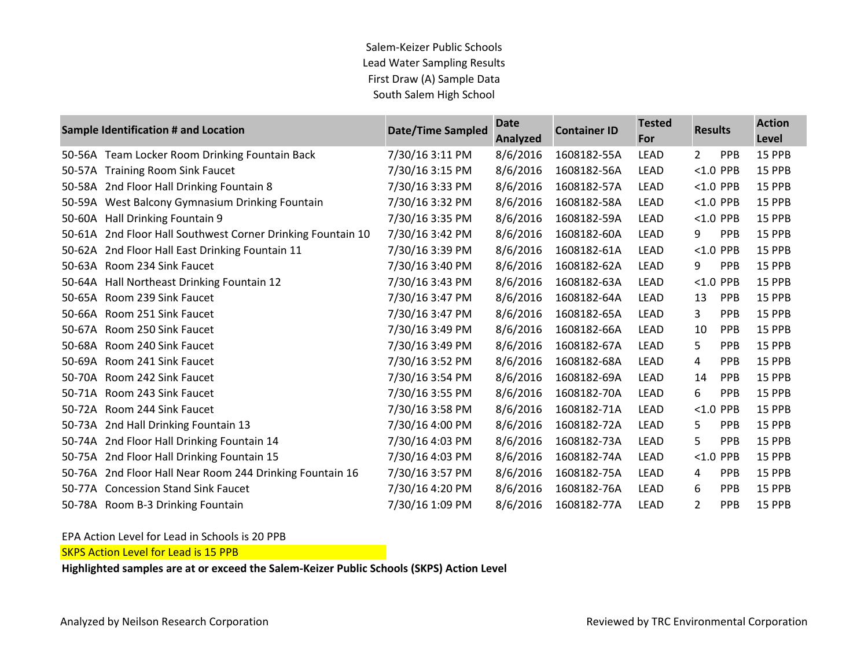| Sample Identification # and Location |                                                      | <b>Date/Time Sampled</b> | <b>Date</b><br>Analyzed | <b>Container ID</b> | <b>Tested</b><br>For | <b>Results</b> |             | <b>Action</b> |
|--------------------------------------|------------------------------------------------------|--------------------------|-------------------------|---------------------|----------------------|----------------|-------------|---------------|
|                                      |                                                      |                          |                         |                     |                      |                |             | Level         |
|                                      | 50-56A Team Locker Room Drinking Fountain Back       | 7/30/16 3:11 PM          | 8/6/2016                | 1608182-55A         | <b>LEAD</b>          | 2              | <b>PPB</b>  | 15 PPB        |
| 50-57A                               | <b>Training Room Sink Faucet</b>                     | 7/30/16 3:15 PM          | 8/6/2016                | 1608182-56A         | <b>LEAD</b>          |                | $< 1.0$ PPB | 15 PPB        |
| 50-58A                               | 2nd Floor Hall Drinking Fountain 8                   | 7/30/16 3:33 PM          | 8/6/2016                | 1608182-57A         | <b>LEAD</b>          |                | $< 1.0$ PPB | 15 PPB        |
| 50-59A                               | West Balcony Gymnasium Drinking Fountain             | 7/30/16 3:32 PM          | 8/6/2016                | 1608182-58A         | <b>LEAD</b>          |                | $< 1.0$ PPB | 15 PPB        |
| 50-60A                               | Hall Drinking Fountain 9                             | 7/30/16 3:35 PM          | 8/6/2016                | 1608182-59A         | <b>LEAD</b>          |                | $< 1.0$ PPB | 15 PPB        |
| 50-61A                               | 2nd Floor Hall Southwest Corner Drinking Fountain 10 | 7/30/16 3:42 PM          | 8/6/2016                | 1608182-60A         | LEAD                 | 9              | <b>PPB</b>  | 15 PPB        |
| 50-62A                               | 2nd Floor Hall East Drinking Fountain 11             | 7/30/16 3:39 PM          | 8/6/2016                | 1608182-61A         | <b>LEAD</b>          |                | $< 1.0$ PPB | 15 PPB        |
| 50-63A                               | Room 234 Sink Faucet                                 | 7/30/16 3:40 PM          | 8/6/2016                | 1608182-62A         | <b>LEAD</b>          | 9              | <b>PPB</b>  | 15 PPB        |
| 50-64A                               | Hall Northeast Drinking Fountain 12                  | 7/30/16 3:43 PM          | 8/6/2016                | 1608182-63A         | <b>LEAD</b>          |                | $< 1.0$ PPB | 15 PPB        |
| 50-65A                               | Room 239 Sink Faucet                                 | 7/30/16 3:47 PM          | 8/6/2016                | 1608182-64A         | <b>LEAD</b>          | 13             | <b>PPB</b>  | 15 PPB        |
| 50-66A                               | Room 251 Sink Faucet                                 | 7/30/16 3:47 PM          | 8/6/2016                | 1608182-65A         | <b>LEAD</b>          | 3              | <b>PPB</b>  | 15 PPB        |
| 50-67A                               | Room 250 Sink Faucet                                 | 7/30/16 3:49 PM          | 8/6/2016                | 1608182-66A         | LEAD                 | 10             | <b>PPB</b>  | 15 PPB        |
| 50-68A                               | Room 240 Sink Faucet                                 | 7/30/16 3:49 PM          | 8/6/2016                | 1608182-67A         | <b>LEAD</b>          | 5.             | <b>PPB</b>  | 15 PPB        |
| 50-69A                               | Room 241 Sink Faucet                                 | 7/30/16 3:52 PM          | 8/6/2016                | 1608182-68A         | <b>LEAD</b>          | 4              | <b>PPB</b>  | 15 PPB        |
| 50-70A                               | Room 242 Sink Faucet                                 | 7/30/16 3:54 PM          | 8/6/2016                | 1608182-69A         | <b>LEAD</b>          | 14             | <b>PPB</b>  | 15 PPB        |
| 50-71A                               | Room 243 Sink Faucet                                 | 7/30/16 3:55 PM          | 8/6/2016                | 1608182-70A         | <b>LEAD</b>          | 6              | <b>PPB</b>  | 15 PPB        |
|                                      | 50-72A Room 244 Sink Faucet                          | 7/30/16 3:58 PM          | 8/6/2016                | 1608182-71A         | <b>LEAD</b>          |                | $< 1.0$ PPB | 15 PPB        |
| 50-73A                               | 2nd Hall Drinking Fountain 13                        | 7/30/16 4:00 PM          | 8/6/2016                | 1608182-72A         | <b>LEAD</b>          | 5              | <b>PPB</b>  | 15 PPB        |
| 50-74A                               | 2nd Floor Hall Drinking Fountain 14                  | 7/30/16 4:03 PM          | 8/6/2016                | 1608182-73A         | <b>LEAD</b>          | 5              | PPB         | 15 PPB        |
| 50-75A                               | 2nd Floor Hall Drinking Fountain 15                  | 7/30/16 4:03 PM          | 8/6/2016                | 1608182-74A         | <b>LEAD</b>          |                | $< 1.0$ PPB | 15 PPB        |
| 50-76A                               | 2nd Floor Hall Near Room 244 Drinking Fountain 16    | 7/30/16 3:57 PM          | 8/6/2016                | 1608182-75A         | LEAD                 | 4              | <b>PPB</b>  | 15 PPB        |
|                                      | 50-77A Concession Stand Sink Faucet                  | 7/30/16 4:20 PM          | 8/6/2016                | 1608182-76A         | <b>LEAD</b>          | 6              | <b>PPB</b>  | 15 PPB        |
|                                      | 50-78A Room B-3 Drinking Fountain                    | 7/30/16 1:09 PM          | 8/6/2016                | 1608182-77A         | <b>LEAD</b>          | 2              | <b>PPB</b>  | 15 PPB        |

EPA Action Level for Lead in Schools is 20 PPB

**SKPS Action Level for Lead is 15 PPB** 

**Highlighted samples are at or exceed the Salem-Keizer Public Schools (SKPS) Action Level**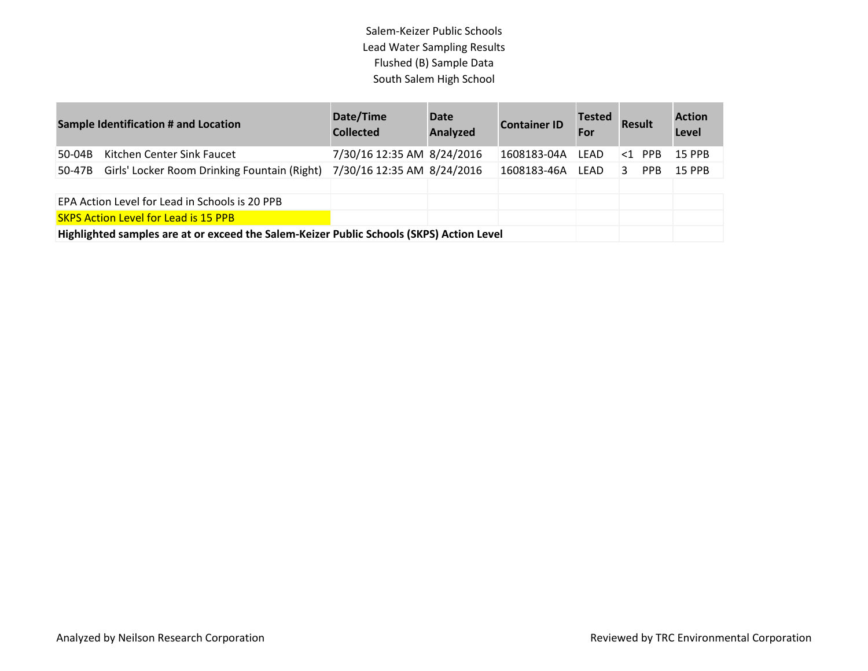| <b>Sample Identification # and Location</b> |                                                                                          | Date/Time<br><b>Collected</b> | <b>Date</b><br>Analyzed | <b>Container ID</b> | <b>Tested</b><br>For | <b>Result</b> |            | <b>Action</b><br>Level |
|---------------------------------------------|------------------------------------------------------------------------------------------|-------------------------------|-------------------------|---------------------|----------------------|---------------|------------|------------------------|
| 50-04B                                      | Kitchen Center Sink Faucet                                                               | 7/30/16 12:35 AM 8/24/2016    |                         | 1608183-04A         | LEAD                 |               | $<1$ PPB   | <b>15 PPB</b>          |
| 50-47B                                      | Girls' Locker Room Drinking Fountain (Right)                                             | 7/30/16 12:35 AM 8/24/2016    |                         | 1608183-46A         | LEAD                 | 3             | <b>PPB</b> | <b>15 PPB</b>          |
|                                             |                                                                                          |                               |                         |                     |                      |               |            |                        |
|                                             | EPA Action Level for Lead in Schools is 20 PPB                                           |                               |                         |                     |                      |               |            |                        |
|                                             | <b>SKPS Action Level for Lead is 15 PPB</b>                                              |                               |                         |                     |                      |               |            |                        |
|                                             | Highlighted samples are at or exceed the Salem-Keizer Public Schools (SKPS) Action Level |                               |                         |                     |                      |               |            |                        |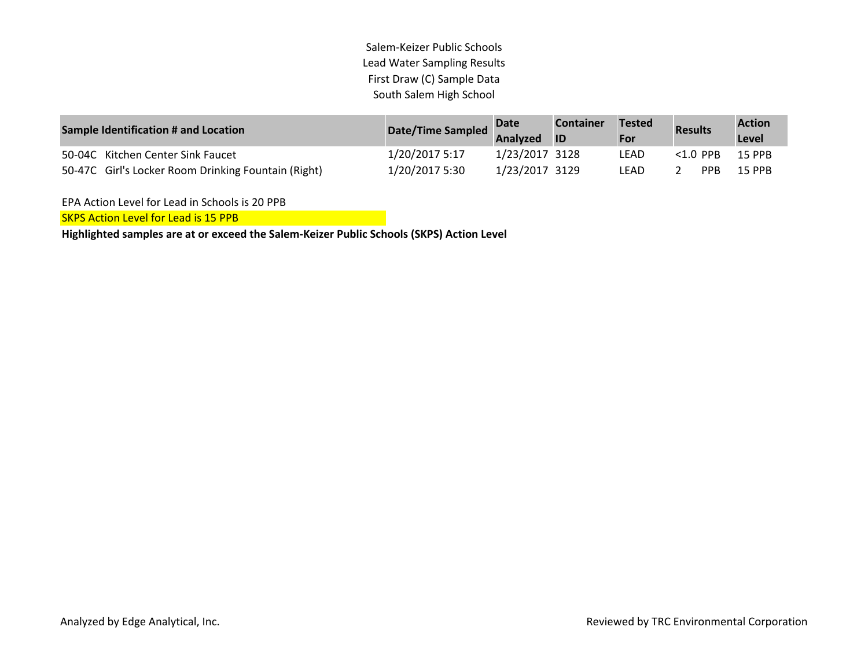| <b>Sample Identification # and Location</b>         | <b>Date/Time Sampled</b> | <b>Date</b>    | <b>Container</b> | <b>Tested</b> | <b>Results</b> | <b>Action</b> |
|-----------------------------------------------------|--------------------------|----------------|------------------|---------------|----------------|---------------|
|                                                     |                          | Analyzed       | <b>ID</b>        | For           |                | Level         |
| 50-04C Kitchen Center Sink Faucet                   | 1/20/2017 5:17           | 1/23/2017 3128 |                  | LEAD          | $<$ 1.0 PPB    | <b>15 PPB</b> |
| 50-47C Girl's Locker Room Drinking Fountain (Right) | 1/20/2017 5:30           | 1/23/2017 3129 |                  | LEAD          | <b>PPR</b>     | <b>15 PPR</b> |

EPA Action Level for Lead in Schools is 20 PPB

SKPS Action Level for Lead is 15 PPB

**Highlighted samples are at or exceed the Salem-Keizer Public Schools (SKPS) Action Level**